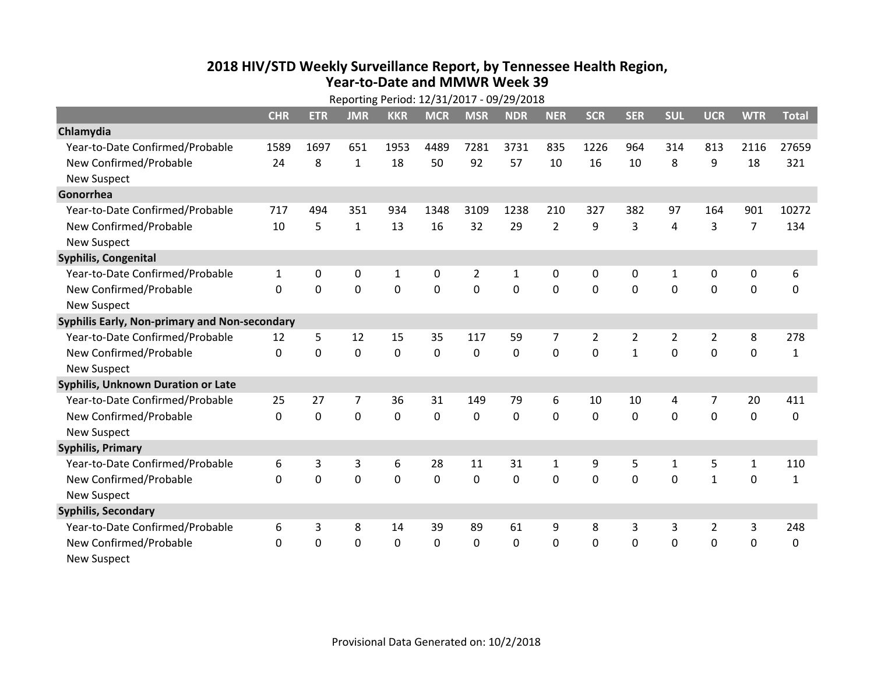## **2018 HIV /STD Weekl y Surveillance Report, b y Tennessee Health Region, Year‐to‐Date and MMWR Week 39**

| Reporting Period: 12/31/2017 - 09/29/2018     |              |             |                |             |                |                |                |                |                |                |                |                |                |              |
|-----------------------------------------------|--------------|-------------|----------------|-------------|----------------|----------------|----------------|----------------|----------------|----------------|----------------|----------------|----------------|--------------|
|                                               | <b>CHR</b>   | <b>ETR</b>  | <b>JMR</b>     | <b>KKR</b>  | <b>MCR</b>     | <b>MSR</b>     | <b>NDR</b>     | <b>NER</b>     | <b>SCR</b>     | <b>SER</b>     | <b>SUL</b>     | <b>UCR</b>     | <b>WTR</b>     | <b>Total</b> |
| Chlamydia                                     |              |             |                |             |                |                |                |                |                |                |                |                |                |              |
| Year-to-Date Confirmed/Probable               | 1589         | 1697        | 651            | 1953        | 4489           | 7281           | 3731           | 835            | 1226           | 964            | 314            | 813            | 2116           | 27659        |
| New Confirmed/Probable                        | 24           | 8           | $\mathbf{1}$   | 18          | 50             | 92             | 57             | 10             | 16             | 10             | 8              | 9              | 18             | 321          |
| <b>New Suspect</b>                            |              |             |                |             |                |                |                |                |                |                |                |                |                |              |
| Gonorrhea                                     |              |             |                |             |                |                |                |                |                |                |                |                |                |              |
| Year-to-Date Confirmed/Probable               | 717          | 494         | 351            | 934         | 1348           | 3109           | 1238           | 210            | 327            | 382            | 97             | 164            | 901            | 10272        |
| New Confirmed/Probable                        | 10           | 5           | $\mathbf{1}$   | 13          | 16             | 32             | 29             | $\overline{2}$ | 9              | 3              | 4              | 3              | $\overline{7}$ | 134          |
| <b>New Suspect</b>                            |              |             |                |             |                |                |                |                |                |                |                |                |                |              |
| Syphilis, Congenital                          |              |             |                |             |                |                |                |                |                |                |                |                |                |              |
| Year-to-Date Confirmed/Probable               | $\mathbf{1}$ | 0           | 0              | 1           | 0              | 2              | $\mathbf{1}$   | 0              | 0              | 0              | 1              | 0              | 0              | 6            |
| New Confirmed/Probable                        | $\Omega$     | $\mathbf 0$ | $\mathbf 0$    | $\mathbf 0$ | $\overline{0}$ | $\overline{0}$ | $\overline{0}$ | 0              | $\overline{0}$ | $\mathbf 0$    | $\mathbf{0}$   | $\mathbf 0$    | $\mathbf 0$    | $\mathbf 0$  |
| <b>New Suspect</b>                            |              |             |                |             |                |                |                |                |                |                |                |                |                |              |
| Syphilis Early, Non-primary and Non-secondary |              |             |                |             |                |                |                |                |                |                |                |                |                |              |
| Year-to-Date Confirmed/Probable               | 12           | 5           | 12             | 15          | 35             | 117            | 59             | 7              | $\overline{2}$ | $\overline{2}$ | $\overline{2}$ | $\overline{2}$ | 8              | 278          |
| New Confirmed/Probable                        | $\mathbf{0}$ | $\mathbf 0$ | $\mathbf 0$    | 0           | $\mathbf 0$    | $\mathbf 0$    | $\mathbf 0$    | 0              | $\Omega$       | $\mathbf{1}$   | $\mathbf{0}$   | $\mathbf 0$    | $\mathbf 0$    | 1            |
| <b>New Suspect</b>                            |              |             |                |             |                |                |                |                |                |                |                |                |                |              |
| <b>Syphilis, Unknown Duration or Late</b>     |              |             |                |             |                |                |                |                |                |                |                |                |                |              |
| Year-to-Date Confirmed/Probable               | 25           | 27          | $\overline{7}$ | 36          | 31             | 149            | 79             | 6              | 10             | 10             | 4              | 7              | 20             | 411          |
| New Confirmed/Probable                        | $\Omega$     | $\mathbf 0$ | $\mathbf 0$    | $\mathbf 0$ | $\mathbf 0$    | $\Omega$       | $\mathbf 0$    | $\Omega$       | $\Omega$       | $\Omega$       | $\Omega$       | $\mathbf 0$    | $\mathbf 0$    | $\Omega$     |
| <b>New Suspect</b>                            |              |             |                |             |                |                |                |                |                |                |                |                |                |              |
| <b>Syphilis, Primary</b>                      |              |             |                |             |                |                |                |                |                |                |                |                |                |              |
| Year-to-Date Confirmed/Probable               | 6            | 3           | 3              | 6           | 28             | 11             | 31             | $\mathbf{1}$   | 9              | 5              | $\mathbf{1}$   | 5              | $\mathbf{1}$   | 110          |
| New Confirmed/Probable                        | $\Omega$     | $\mathbf 0$ | $\mathbf 0$    | $\mathbf 0$ | $\mathbf 0$    | 0              | $\mathbf 0$    | 0              | $\mathbf 0$    | $\mathbf 0$    | $\mathbf 0$    | $\mathbf{1}$   | 0              | 1            |
| <b>New Suspect</b>                            |              |             |                |             |                |                |                |                |                |                |                |                |                |              |
| <b>Syphilis, Secondary</b>                    |              |             |                |             |                |                |                |                |                |                |                |                |                |              |
| Year-to-Date Confirmed/Probable               | 6            | 3           | 8              | 14          | 39             | 89             | 61             | 9              | 8              | 3              | 3              | $\overline{2}$ | $\mathsf 3$    | 248          |
| New Confirmed/Probable                        | 0            | 0           | $\mathbf 0$    | 0           | $\mathbf 0$    | 0              | $\mathbf 0$    | 0              | 0              | $\mathbf 0$    | 0              | $\mathbf 0$    | $\mathbf 0$    | 0            |
| <b>New Suspect</b>                            |              |             |                |             |                |                |                |                |                |                |                |                |                |              |